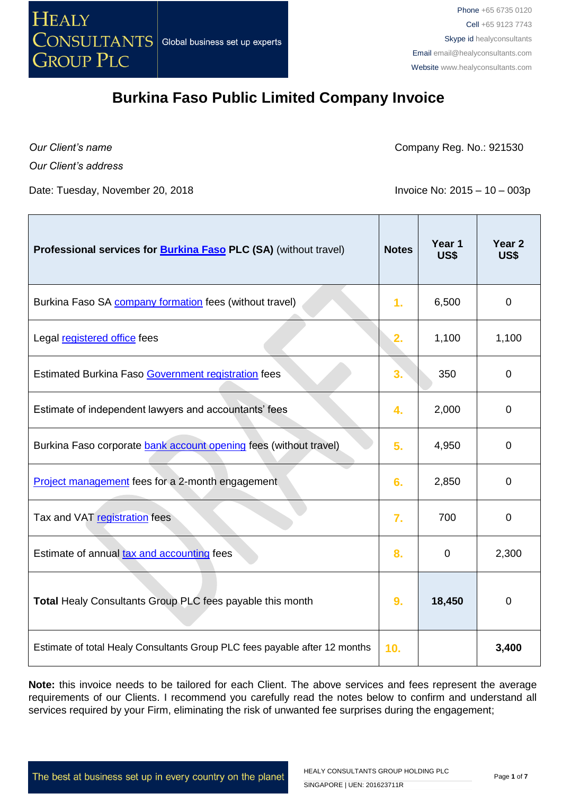

*Our Client's name Our Client's address*

Company Reg. No.: 921530

Date: Tuesday, November 20, 2018 **Invoice No: 2015 – 10 – 003p** 

| Professional services for <b>Burkina Faso PLC (SA)</b> (without travel)    | <b>Notes</b>   | Year 1<br>US\$ | Year <sub>2</sub><br>US\$ |
|----------------------------------------------------------------------------|----------------|----------------|---------------------------|
| Burkina Faso SA company formation fees (without travel)                    | 1 <sub>r</sub> | 6,500          | 0                         |
| Legal registered office fees                                               | 2.             | 1,100          | 1,100                     |
| Estimated Burkina Faso Government registration fees                        | 3.             | 350            | $\mathbf 0$               |
| Estimate of independent lawyers and accountants' fees                      | 4.             | 2,000          | 0                         |
| Burkina Faso corporate bank account opening fees (without travel)          | 5.             | 4,950          | 0                         |
| <b>Project management</b> fees for a 2-month engagement                    | 6.             | 2,850          | 0                         |
| Tax and VAT registration fees                                              | 7.             | 700            | 0                         |
| Estimate of annual tax and accounting fees                                 | 8.             | $\mathbf 0$    | 2,300                     |
| Total Healy Consultants Group PLC fees payable this month                  | 9.             | 18,450         | $\overline{0}$            |
| Estimate of total Healy Consultants Group PLC fees payable after 12 months | 10.            |                | 3,400                     |

**Note:** this invoice needs to be tailored for each Client. The above services and fees represent the average requirements of our Clients. I recommend you carefully read the notes below to confirm and understand all services required by your Firm, eliminating the risk of unwanted fee surprises during the engagement;

The best at business set up in every country on the planet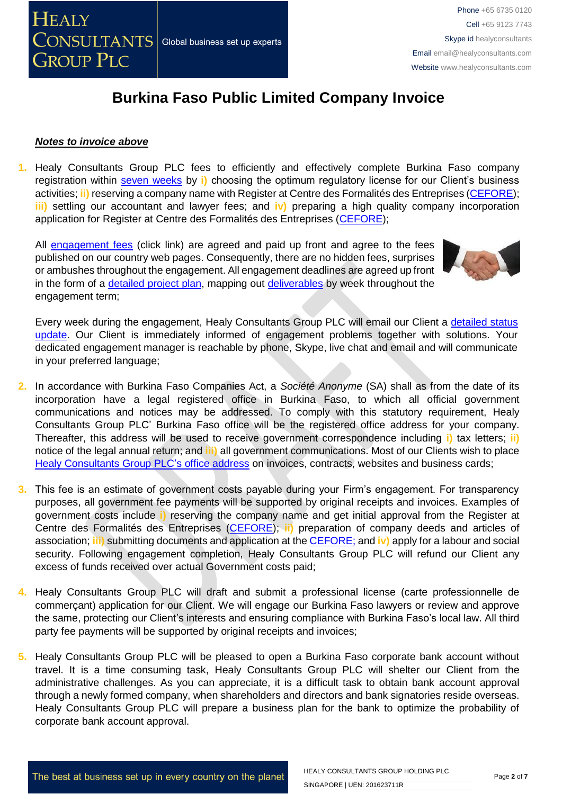

#### *Notes to invoice above*

**1.** Healy Consultants Group PLC fees to efficiently and effectively complete Burkina Faso company registration within [seven weeks](http://www.healyconsultants.com/burkina-faso-company-registration/fees-timelines/) by **i)** choosing the optimum regulatory license for our Client's business activities; **ii)** reserving a company name with Register at Centre des Formalités des Entreprises [\(CEFORE\)](http://www.impots.gov.bf/); **iii)** settling our accountant and lawyer fees; and **iv)** preparing a high quality company incorporation application for Register at Centre des Formalités des Entreprises [\(CEFORE\)](http://www.impots.gov.bf/);

All [engagement fees](http://www.healyconsultants.com/company-registration-fees/) (click link) are agreed and paid up front and agree to the fees published on our country web pages. Consequently, there are no hidden fees, surprises or ambushes throughout the engagement. All engagement deadlines are agreed up front in the form of a [detailed project plan,](http://www.healyconsultants.com/index-important-links/example-project-plan/) mapping out [deliverables](http://www.healyconsultants.com/deliverables-to-our-clients/) by week throughout the engagement term;



Every week during the engagement, Healy Consultants Group PLC will email our Client a [detailed status](http://www.healyconsultants.com/index-important-links/weekly-engagement-status-email/)  [update.](http://www.healyconsultants.com/index-important-links/weekly-engagement-status-email/) Our Client is immediately informed of engagement problems together with solutions. Your dedicated engagement manager is reachable by phone, Skype, live chat and email and will communicate in your preferred language;

- **2.** In accordance with Burkina Faso Companies Act, a *Société Anonyme* (SA) shall as from the date of its incorporation have a legal registered office in Burkina Faso, to which all official government communications and notices may be addressed. To comply with this statutory requirement, Healy Consultants Group PLC' Burkina Faso office will be the registered office address for your company. Thereafter, this address will be used to receive government correspondence including **i)** tax letters; **ii)** notice of the legal annual return; and **iii)** all government communications. Most of our Clients wish to place [Healy Consultants Group PLC's](http://www.healyconsultants.com/corporate-outsourcing-services/company-secretary-and-legal-registered-office/) office address on invoices, contracts, websites and business cards;
- **3.** This fee is an estimate of government costs payable during your Firm's engagement. For transparency purposes, all government fee payments will be supported by original receipts and invoices. Examples of government costs include **i)** reserving the company name and get initial approval from the Register at Centre des Formalités des Entreprises [\(CEFORE\)](http://www.impots.gov.bf/); **ii)** preparation of company deeds and articles of association; **iii)** submitting documents and application at th[e CEFORE;](http://www.impots.gov.bf/) and **iv)** apply for a labour and social security. Following engagement completion, Healy Consultants Group PLC will refund our Client any excess of funds received over actual Government costs paid;
- **4.** Healy Consultants Group PLC will draft and submit a professional license (carte professionnelle de commerçant) application for our Client. We will engage our Burkina Faso lawyers or review and approve the same, protecting our Client's interests and ensuring compliance with Burkina Faso's local law. All third party fee payments will be supported by original receipts and invoices;
- **5.** Healy Consultants Group PLC will be pleased to open a Burkina Faso corporate bank account without travel. It is a time consuming task, Healy Consultants Group PLC will shelter our Client from the administrative challenges. As you can appreciate, it is a difficult task to obtain bank account approval through a newly formed company, when shareholders and directors and bank signatories reside overseas. Healy Consultants Group PLC will prepare a business plan for the bank to optimize the probability of corporate bank account approval.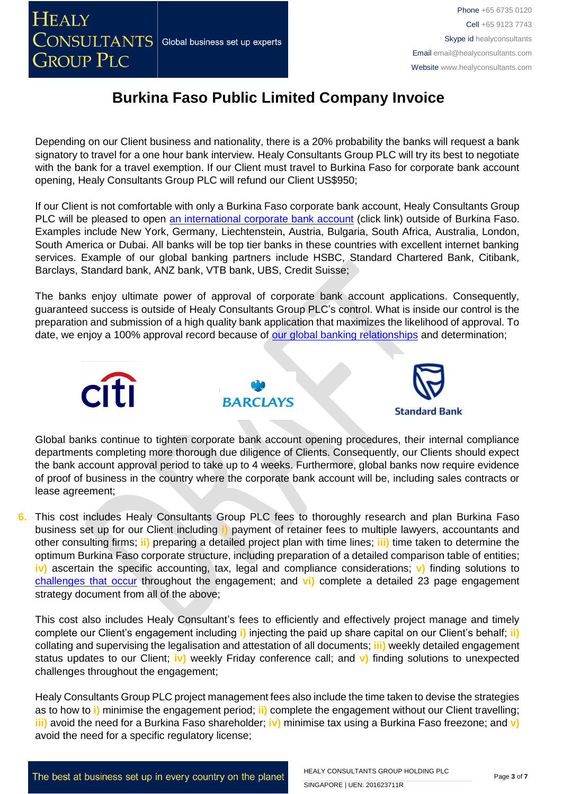

Depending on our Client business and nationality, there is a 20% probability the banks will request a bank signatory to travel for a one hour bank interview. Healy Consultants Group PLC will try its best to negotiate with the bank for a travel exemption. If our Client must travel to Burkina Faso for corporate bank account opening, Healy Consultants Group PLC will refund our Client US\$950;

If our Client is not comfortable with only a Burkina Faso corporate bank account, Healy Consultants Group PLC will be pleased to open [an international corporate bank account](http://www.healyconsultants.com/international-banking/) (click link) outside of Burkina Faso. Examples include New York, Germany, Liechtenstein, Austria, Bulgaria, South Africa, Australia, London, South America or Dubai. All banks will be top tier banks in these countries with excellent internet banking services. Example of our global banking partners include HSBC, Standard Chartered Bank, Citibank, Barclays, Standard bank, ANZ bank, VTB bank, UBS, Credit Suisse;

The banks enjoy ultimate power of approval of corporate bank account applications. Consequently, guaranteed success is outside of Healy Consultants Group PLC's control. What is inside our control is the preparation and submission of a high quality bank application that maximizes the likelihood of approval. To date, we enjoy a 100% approval record because of [our global banking relationships](http://www.healyconsultants.com/international-banking/corporate-accounts/) and determination;



Global banks continue to tighten corporate bank account opening procedures, their internal compliance departments completing more thorough due diligence of Clients. Consequently, our Clients should expect the bank account approval period to take up to 4 weeks. Furthermore, global banks now require evidence of proof of business in the country where the corporate bank account will be, including sales contracts or lease agreement;

**6.** This cost includes Healy Consultants Group PLC fees to thoroughly research and plan Burkina Faso business set up for our Client including **i)** payment of retainer fees to multiple lawyers, accountants and other consulting firms; **ii)** preparing a detailed project plan with time lines; **iii)** time taken to determine the optimum Burkina Faso corporate structure, including preparation of a detailed comparison table of entities; **iv)** ascertain the specific accounting, tax, legal and compliance considerations; **v)** finding solutions to [challenges that occur](http://www.healyconsultants.com/engagement-project-management/) throughout the engagement; and **vi)** complete a detailed 23 page engagement strategy document from all of the above;

This cost also includes Healy Consultant's fees to efficiently and effectively project manage and timely complete our Client's engagement including **i)** injecting the paid up share capital on our Client's behalf; **ii)**  collating and supervising the legalisation and attestation of all documents; **iii)** weekly detailed engagement status updates to our Client; **iv)** weekly Friday conference call; and **v)** finding solutions to unexpected challenges throughout the engagement;

Healy Consultants Group PLC project management fees also include the time taken to devise the strategies as to how to **i)** minimise the engagement period; **ii)** complete the engagement without our Client travelling; **iii)** avoid the need for a Burkina Faso shareholder; **iv)** minimise tax using a Burkina Faso freezone; and **v)** avoid the need for a specific regulatory license;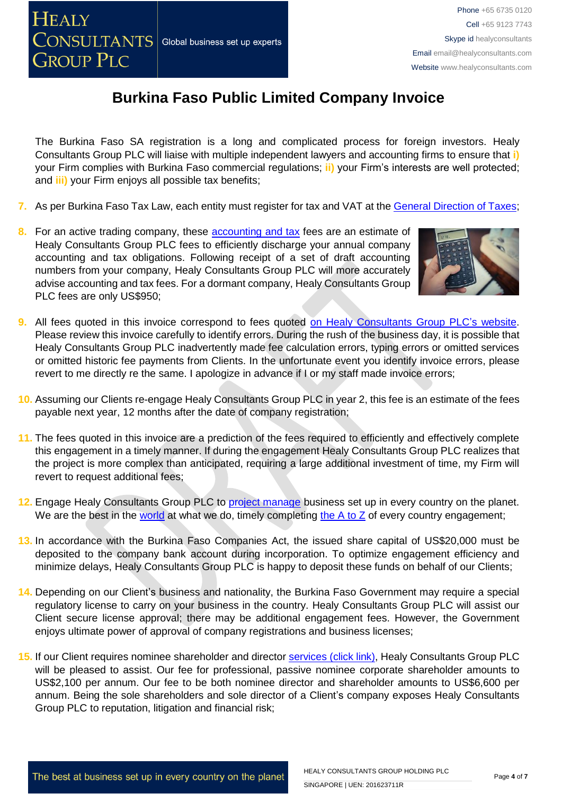The Burkina Faso SA registration is a long and complicated process for foreign investors. Healy Consultants Group PLC will liaise with multiple independent lawyers and accounting firms to ensure that **i)** your Firm complies with Burkina Faso commercial regulations; **ii)** your Firm's interests are well protected; and **iii)** your Firm enjoys all possible tax benefits;

- **7.** As per Burkina Faso Tax Law, each entity must register for tax and VAT at the [General Direction of Taxes;](http://www.impots.gov.bf/)
- **8.** For an active trading company, these [accounting and tax](http://www.healyconsultants.com/burkina-faso-company-registration/accounting-legal/) fees are an estimate of Healy Consultants Group PLC fees to efficiently discharge your annual company accounting and tax obligations. Following receipt of a set of draft accounting numbers from your company, Healy Consultants Group PLC will more accurately advise accounting and tax fees. For a dormant company, Healy Consultants Group PLC fees are only US\$950;



- **9.** All fees quoted in this invoice correspond to fees quoted [on Healy Consultants Group PLC's](http://www.healyconsultants.com/company-registration-fees/) website. Please review this invoice carefully to identify errors. During the rush of the business day, it is possible that Healy Consultants Group PLC inadvertently made fee calculation errors, typing errors or omitted services or omitted historic fee payments from Clients. In the unfortunate event you identify invoice errors, please revert to me directly re the same. I apologize in advance if I or my staff made invoice errors;
- **10.** Assuming our Clients re-engage Healy Consultants Group PLC in year 2, this fee is an estimate of the fees payable next year, 12 months after the date of company registration;
- **11.** The fees quoted in this invoice are a prediction of the fees required to efficiently and effectively complete this engagement in a timely manner. If during the engagement Healy Consultants Group PLC realizes that the project is more complex than anticipated, requiring a large additional investment of time, my Firm will revert to request additional fees;
- **12.** Engage Healy Consultants Group PLC to [project manage](http://www.healyconsultants.com/project-manage-engagements/) business set up in every country on the planet. We are the best in the [world](http://www.healyconsultants.com/best-in-the-world/) at what we do, timely completing the  $A$  to  $Z$  of every country engagement;
- **13.** In accordance with the Burkina Faso Companies Act, the issued share capital of US\$20,000 must be deposited to the company bank account during incorporation. To optimize engagement efficiency and minimize delays, Healy Consultants Group PLC is happy to deposit these funds on behalf of our Clients;
- **14.** Depending on our Client's business and nationality, the Burkina Faso Government may require a special regulatory license to carry on your business in the country. Healy Consultants Group PLC will assist our Client secure license approval; there may be additional engagement fees. However, the Government enjoys ultimate power of approval of company registrations and business licenses;
- **15.** If our Client requires nominee shareholder and director services [\(click link\),](http://www.healyconsultants.com/corporate-outsourcing-services/nominee-shareholders-directors/) Healy Consultants Group PLC will be pleased to assist. Our fee for professional, passive nominee corporate shareholder amounts to US\$2,100 per annum. Our fee to be both nominee director and shareholder amounts to US\$6,600 per annum. Being the sole shareholders and sole director of a Client's company exposes Healy Consultants Group PLC to reputation, litigation and financial risk;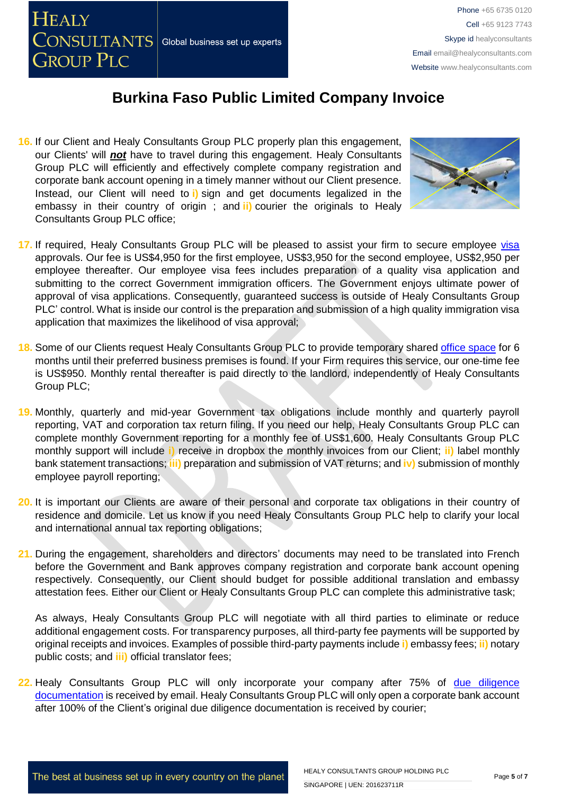

**16.** If our Client and Healy Consultants Group PLC properly plan this engagement, our Clients' will *not* have to travel during this engagement. Healy Consultants Group PLC will efficiently and effectively complete company registration and corporate bank account opening in a timely manner without our Client presence. Instead, our Client will need to **i)** sign and get documents legalized in the embassy in their country of origin ; and **ii)** courier the originals to Healy Consultants Group PLC office;



- 17. If required, Healy Consultants Group PLC will be pleased to assist your firm to secure employee [visa](http://www.healyconsultants.com/corporate-advisory-services/migration/) approvals. Our fee is US\$4,950 for the first employee, US\$3,950 for the second employee, US\$2,950 per employee thereafter. Our employee visa fees includes preparation of a quality visa application and submitting to the correct Government immigration officers. The Government enjoys ultimate power of approval of visa applications. Consequently, guaranteed success is outside of Healy Consultants Group PLC' control. What is inside our control is the preparation and submission of a high quality immigration visa application that maximizes the likelihood of visa approval;
- **18.** Some of our Clients request Healy Consultants Group PLC to provide temporary shared [office space](http://www.healyconsultants.com/virtual-office/) for 6 months until their preferred business premises is found. If your Firm requires this service, our one-time fee is US\$950. Monthly rental thereafter is paid directly to the landlord, independently of Healy Consultants Group PLC;
- **19.** Monthly, quarterly and mid-year Government tax obligations include monthly and quarterly payroll reporting, VAT and corporation tax return filing. If you need our help, Healy Consultants Group PLC can complete monthly Government reporting for a monthly fee of US\$1,600. Healy Consultants Group PLC monthly support will include **i)** receive in dropbox the monthly invoices from our Client; **ii)** label monthly bank statement transactions; **iii)** preparation and submission of VAT returns; and **iv)** submission of monthly employee payroll reporting;
- **20.** It is important our Clients are aware of their personal and corporate tax obligations in their country of residence and domicile. Let us know if you need Healy Consultants Group PLC help to clarify your local and international annual tax reporting obligations;
- **21.** During the engagement, shareholders and directors' documents may need to be translated into French before the Government and Bank approves company registration and corporate bank account opening respectively. Consequently, our Client should budget for possible additional translation and embassy attestation fees. Either our Client or Healy Consultants Group PLC can complete this administrative task;

As always, Healy Consultants Group PLC will negotiate with all third parties to eliminate or reduce additional engagement costs. For transparency purposes, all third-party fee payments will be supported by original receipts and invoices. Examples of possible third-party payments include **i)** embassy fees; **ii)** notary public costs; and **iii)** official translator fees;

22. Healy Consultants Group PLC will only incorporate your company after 75% of due diligence [documentation](http://www.healyconsultants.com/due-diligence/) is received by email. Healy Consultants Group PLC will only open a corporate bank account after 100% of the Client's original due diligence documentation is received by courier;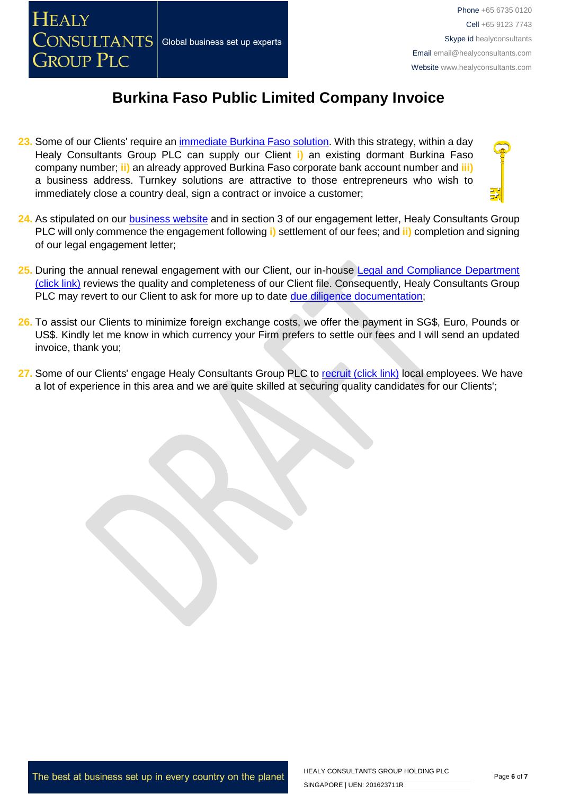

- **23.** Some of our Clients' require an [immediate Burkina Faso solution.](http://www.healyconsultants.com/turnkey-solutions/) With this strategy, within a day Healy Consultants Group PLC can supply our Client **i)** an existing dormant Burkina Faso company number; **ii)** an already approved Burkina Faso corporate bank account number and **iii)** a business address. Turnkey solutions are attractive to those entrepreneurs who wish to immediately close a country deal, sign a contract or invoice a customer;
- **24.** As stipulated on our [business website](http://www.healyconsultants.com/) and in section 3 of our engagement letter, Healy Consultants Group PLC will only commence the engagement following **i)** settlement of our fees; and **ii)** completion and signing of our legal engagement letter;
- 25. During the annual renewal engagement with our Client, our in-house Legal and Compliance Department [\(click link\)](http://www.healyconsultants.com/about-us/key-personnel/cai-xin-profile/) reviews the quality and completeness of our Client file. Consequently, Healy Consultants Group PLC may revert to our Client to ask for more up to date [due diligence documentation;](http://www.healyconsultants.com/due-diligence/)
- **26.** To assist our Clients to minimize foreign exchange costs, we offer the payment in SG\$, Euro, Pounds or US\$. Kindly let me know in which currency your Firm prefers to settle our fees and I will send an updated invoice, thank you;
- 27. Some of our Clients' engage Healy Consultants Group PLC to [recruit \(click link\)](http://www.healyconsultants.com/corporate-outsourcing-services/how-we-help-our-clients-recruit-quality-employees/) local employees. We have a lot of experience in this area and we are quite skilled at securing quality candidates for our Clients';